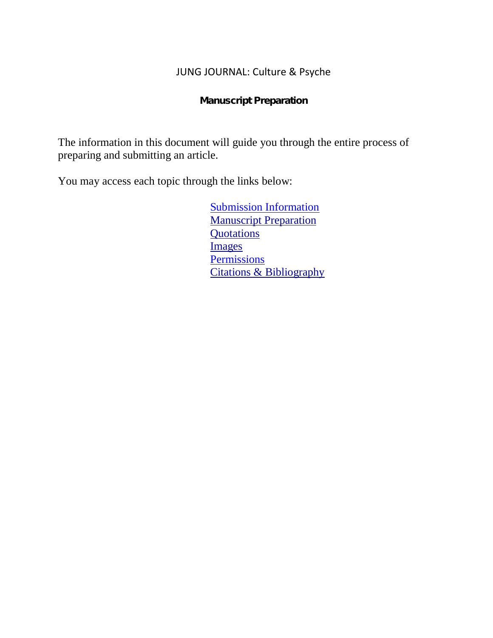## JUNG JOURNAL: Culture & Psyche

Manuscript Preparation

The information in this document will guide you through the entire process of preparing and submitting an article.

You may access each topic through the links below:

[Submission Information](#page-2-0) [Manuscript Preparation](#page-2-0) **[Quotations](#page-3-0)** [Images](#page-3-1) **[Permissions](#page-4-0)** [Citations & Bibliography](#page-5-0)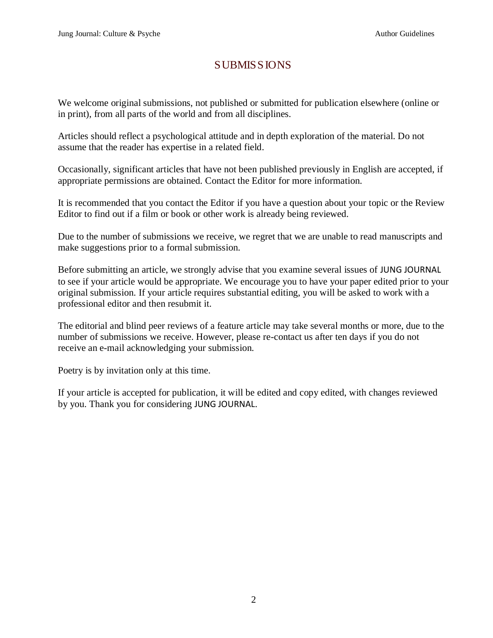## SUBMISSIONS

We welcome original submissions, not published or submitted for publication elsewhere (online or in print), from all parts of the world and from all disciplines.

Articles should reflect a psychological attitude and in depth exploration of the material. Do not assume that the reader has expertise in a related field.

Occasionally, significant articles that have not been published previously in English are accepted, if appropriate permissions are obtained. Contact the Editor for more information.

It is recommended that you contact the Editor if you have a question about your topic or the Review Editor to find out if a film or book or other work is already being reviewed.

Due to the number of submissions we receive, we regret that we are unable to read manuscripts and make suggestions prior to a formal submission.

Before submitting an article, we strongly advise that you examine several issues of JUNG JOURNAL to see if your article would be appropriate. We encourage you to have your paper edited prior to your original submission. If your article requires substantial editing, you will be asked to work with a professional editor and then resubmit it.

The editorial and blind peer reviews of a feature article may take several months or more, due to the number of submissions we receive. However, please re-contact us after ten days if you do not receive an e-mail acknowledging your submission.

Poetry is by invitation only at this time.

If your article is accepted for publication, it will be edited and copy edited, with changes reviewed by you. Thank you for considering JUNG JOURNAL.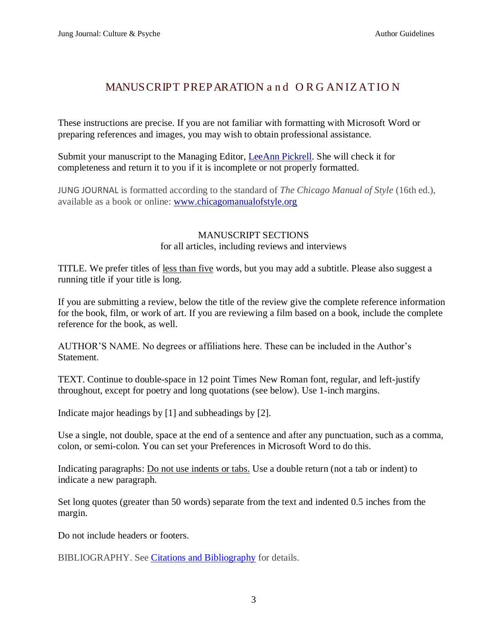# <span id="page-2-1"></span>MANUSCRIPT PREPARATION and ORGANIZATION

<span id="page-2-0"></span>These instructions are precise. If you are not familiar with formatting with Microsoft Word or preparing references and images, you may wish to obtain professional assistance.

Submit your manuscript to the Managing Editor, [LeeAnn Pickrell.](mailto:(leeannpickrell@me.com?subject=Jung%20Journal%20Submission) She will check it for completeness and return it to you if it is incomplete or not properly formatted.

JUNG JOURNAL is formatted according to the standard of *The Chicago Manual of Style* (16th ed.), available as a book or online: [www.chicagomanualofstyle.org](http://www.chicagomanualofstyle.org/)

## MANUSCRIPT SECTIONS for all articles, including reviews and interviews

TITLE. We prefer titles of less than five words, but you may add a subtitle. Please also suggest a running title if your title is long.

If you are submitting a review, below the title of the review give the complete reference information for the book, film, or work of art. If you are reviewing a film based on a book, include the complete reference for the book, as well.

AUTHOR'S NAME. No degrees or affiliations here. These can be included in the Author's Statement.

TEXT. Continue to double-space in 12 point Times New Roman font, regular, and left-justify throughout, except for poetry and long quotations (see below). Use 1-inch margins.

Indicate major headings by [1] and subheadings by [2].

Use a single, not double, space at the end of a sentence and after any punctuation, such as a comma, colon, or semi-colon. You can set your Preferences in Microsoft Word to do this.

Indicating paragraphs: Do not use indents or tabs. Use a double return (not a tab or indent) to indicate a new paragraph.

Set long quotes (greater than 50 words) separate from the text and indented 0.5 inches from the margin.

Do not include headers or footers.

BIBLIOGRAPHY. See [Citations and Bibliography](#page-5-0) for details.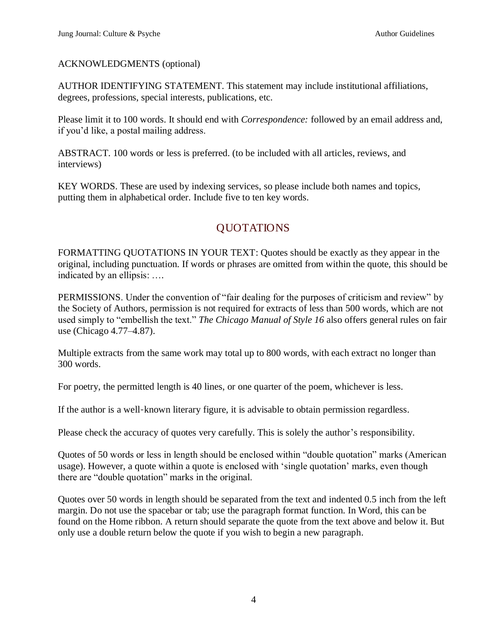## ACKNOWLEDGMENTS (optional)

AUTHOR IDENTIFYING STATEMENT. This statement may include institutional affiliations, degrees, professions, special interests, publications, etc.

Please limit it to 100 words. It should end with *Correspondence:* followed by an email address and, if you'd like, a postal mailing address.

ABSTRACT. 100 words or less is preferred. (to be included with all articles, reviews, and interviews)

KEY WORDS. These are used by indexing services, so please include both names and topics, putting them in alphabetical order. Include five to ten key words.

# <span id="page-3-2"></span>**OUOTATIONS**

<span id="page-3-0"></span>FORMATTING QUOTATIONS IN YOUR TEXT: Quotes should be exactly as they appear in the original, including punctuation. If words or phrases are omitted from within the quote, this should be indicated by an ellipsis: ….

PERMISSIONS. Under the convention of "fair dealing for the purposes of criticism and review" by the Society of Authors, permission is not required for extracts of less than 500 words, which are not used simply to "embellish the text." *The Chicago Manual of Style 16* also offers general rules on fair use (Chicago 4.77–4.87).

Multiple extracts from the same work may total up to 800 words, with each extract no longer than 300 words.

For poetry, the permitted length is 40 lines, or one quarter of the poem, whichever is less.

If the author is a well-known literary figure, it is advisable to obtain permission regardless.

Please check the accuracy of quotes very carefully. This is solely the author's responsibility.

Quotes of 50 words or less in length should be enclosed within "double quotation" marks (American usage). However, a quote within a quote is enclosed with 'single quotation' marks, even though there are "double quotation" marks in the original.

<span id="page-3-3"></span><span id="page-3-1"></span>Quotes over 50 words in length should be separated from the text and indented 0.5 inch from the left margin. Do not use the spacebar or tab; use the paragraph format function. In Word, this can be found on the Home ribbon. A return should separate the quote from the text above and below it. But only use a double return below the quote if you wish to begin a new paragraph.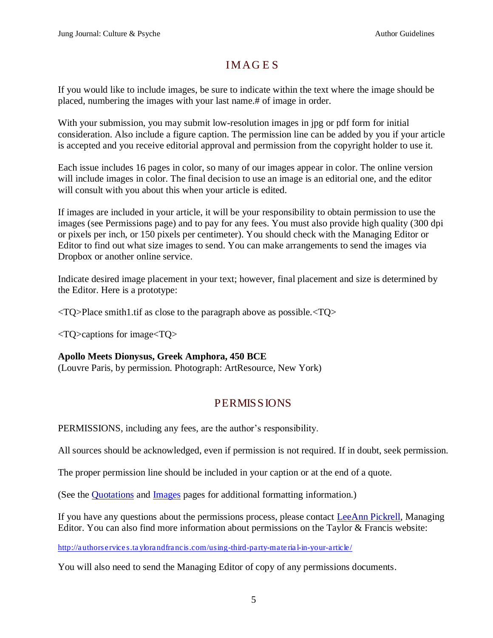## **IMAGES**

If you would like to include images, be sure to indicate within the text where the image should be placed, numbering the images with your last name.# of image in order.

With your submission, you may submit low-resolution images in jpg or pdf form for initial consideration. Also include a figure caption. The permission line can be added by you if your article is accepted and you receive editorial approval and permission from the copyright holder to use it.

Each issue includes 16 pages in color, so many of our images appear in color. The online version will include images in color. The final decision to use an image is an editorial one, and the editor will consult with you about this when your article is edited.

If images are included in your article, it will be your responsibility to obtain permission to use the images (see Permissions page) and to pay for any fees. You must also provide high quality (300 dpi or pixels per inch, or 150 pixels per centimeter). You should check with the Managing Editor or Editor to find out what size images to send. You can make arrangements to send the images via Dropbox or another online service.

Indicate desired image placement in your text; however, final placement and size is determined by the Editor. Here is a prototype:

 $\langle$ TQ>Place smith1.tif as close to the paragraph above as possible. $\langle$ TQ>

<TQ>captions for image<TQ>

## **Apollo Meets Dionysus, Greek Amphora, 450 BCE**

(Louvre Paris, by permission. Photograph: ArtResource, New York)

# <span id="page-4-1"></span>PERMISSIONS

<span id="page-4-0"></span>PERMISSIONS, including any fees, are the author's responsibility.

All sources should be acknowledged, even if permission is not required. If in doubt, seek permission.

The proper permission line should be included in your caption or at the end of a quote.

(See the [Quotations](#page-3-0) and [Images](#page-3-1) pages for additional formatting information.)

If you have any questions about the permissions process, please contact [LeeAnn Pickrell,](mailto:leeannpickrell@me.com?subject=Jung%20Journal%20Permission%20Form) Managing Editor. You can also find more information about permissions on the Taylor & Francis website:

<http://authorservices.taylorandfrancis.com/using-third-party-material-in-your-article/>

You will also need to send the Managing Editor of copy of any permissions documents.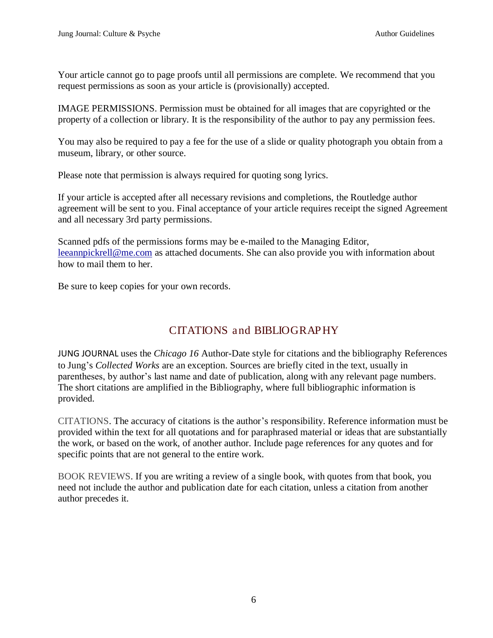Your article cannot go to page proofs until all permissions are complete. We recommend that you request permissions as soon as your article is (provisionally) accepted.

IMAGE PERMISSIONS. Permission must be obtained for all images that are copyrighted or the property of a collection or library. It is the responsibility of the author to pay any permission fees.

You may also be required to pay a fee for the use of a slide or quality photograph you obtain from a museum, library, or other source.

Please note that permission is always required for quoting song lyrics.

If your article is accepted after all necessary revisions and completions, the Routledge author agreement will be sent to you. Final acceptance of your article requires receipt the signed Agreement and all necessary 3rd party permissions.

Scanned pdfs of the permissions forms may be e-mailed to the Managing Editor, [leeannpickrell@me.com](mailto:leeannpickrell@me.com) as attached documents. She can also provide you with information about how to mail them to her.

Be sure to keep copies for your own records.

# <span id="page-5-1"></span>CITATIONS and BIBLIOGRAPHY

<span id="page-5-0"></span>JUNG JOURNAL uses the *Chicago 16* Author-Date style for citations and the bibliography References to Jung's *Collected Works* are an exception. Sources are briefly cited in the text, usually in parentheses, by author's last name and date of publication, along with any relevant page numbers. The short citations are amplified in the Bibliography, where full bibliographic information is provided.

CITATIONS. The accuracy of citations is the author's responsibility. Reference information must be provided within the text for all quotations and for paraphrased material or ideas that are substantially the work, or based on the work, of another author. Include page references for any quotes and for specific points that are not general to the entire work.

BOOK REVIEWS. If you are writing a review of a single book, with quotes from that book, you need not include the author and publication date for each citation, unless a citation from another author precedes it.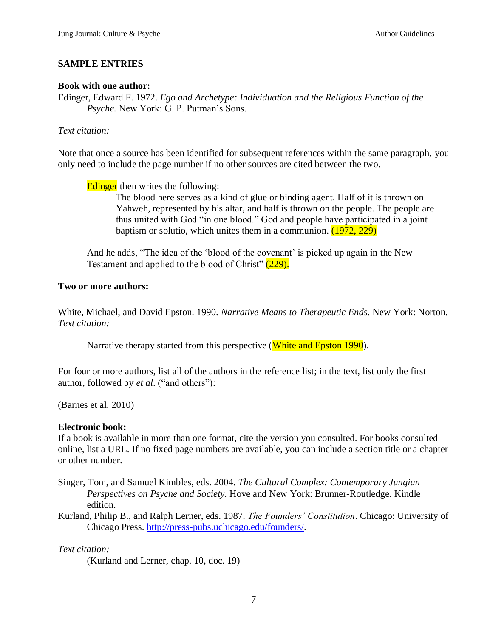## **SAMPLE ENTRIES**

#### **Book with one author:**

Edinger, Edward F. 1972. *Ego and Archetype: Individuation and the Religious Function of the Psyche.* New York: G. P. Putman's Sons.

#### *Text citation:*

Note that once a source has been identified for subsequent references within the same paragraph, you only need to include the page number if no other sources are cited between the two.

Edinger then writes the following:

The blood here serves as a kind of glue or binding agent. Half of it is thrown on Yahweh, represented by his altar, and half is thrown on the people. The people are thus united with God "in one blood." God and people have participated in a joint baptism or solutio, which unites them in a communion. (1972, 229)

And he adds, "The idea of the 'blood of the covenant' is picked up again in the New Testament and applied to the blood of Christ" (229).

#### **Two or more authors:**

White, Michael, and David Epston. 1990. *Narrative Means to Therapeutic Ends.* New York: Norton. *Text citation:*

Narrative therapy started from this perspective (White and Epston 1990).

For four or more authors, list all of the authors in the reference list; in the text, list only the first author, followed by *et al*. ("and others"):

(Barnes et al. 2010)

#### **Electronic book:**

If a book is available in more than one format, cite the version you consulted. For books consulted online, list a URL. If no fixed page numbers are available, you can include a section title or a chapter or other number.

- Singer, Tom, and Samuel Kimbles, eds. 2004. *The Cultural Complex: Contemporary Jungian Perspectives on Psyche and Society.* Hove and New York: Brunner-Routledge. Kindle edition.
- Kurland, Philip B., and Ralph Lerner, eds. 1987. *The Founders' Constitution*. Chicago: University of Chicago Press. [http://press-pubs.uchicago.edu/founders/.](http://press-pubs.uchicago.edu/founders/)

*Text citation:*

(Kurland and Lerner, chap. 10, doc. 19)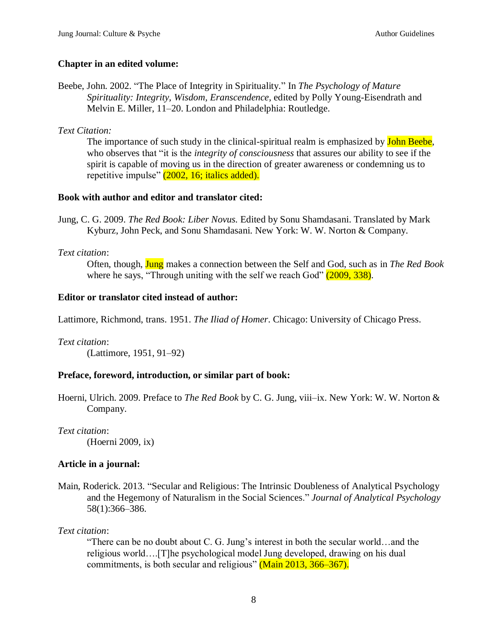## **Chapter in an edited volume:**

Beebe, John. 2002. "The Place of Integrity in Spirituality." In *The Psychology of Mature Spirituality: Integrity, Wisdom, Eranscendence,* edited by Polly Young-Eisendrath and Melvin E. Miller, 11–20. London and Philadelphia: Routledge.

*Text Citation:*

The importance of such study in the clinical-spiritual realm is emphasized by **John Beebe**, who observes that "it is the *integrity of consciousness* that assures our ability to see if the spirit is capable of moving us in the direction of greater awareness or condemning us to repetitive impulse" (2002, 16; italics added).

#### **Book with author and editor and translator cited:**

Jung, C. G. 2009. *The Red Book: Liber Novus.* Edited by Sonu Shamdasani. Translated by Mark Kyburz, John Peck, and Sonu Shamdasani. New York: W. W. Norton & Company.

## *Text citation*:

Often, though, Jung makes a connection between the Self and God, such as in *The Red Book* where he says, "Through uniting with the self we reach God"  $(2009, 338)$ .

## **Editor or translator cited instead of author:**

Lattimore, Richmond, trans. 1951. *The Iliad of Homer*. Chicago: University of Chicago Press.

*Text citation*: (Lattimore, 1951, 91–92)

## **Preface, foreword, introduction, or similar part of book:**

Hoerni, Ulrich. 2009. Preface to *The Red Book* by C. G. Jung, viii–ix. New York: W. W. Norton & Company.

*Text citation*: (Hoerni 2009, ix)

## **Article in a journal:**

Main, Roderick. 2013. "Secular and Religious: The Intrinsic Doubleness of Analytical Psychology and the Hegemony of Naturalism in the Social Sciences." *Journal of Analytical Psychology*  58(1):366–386.

*Text citation*:

"There can be no doubt about C. G. Jung's interest in both the secular world…and the religious world….[T]he psychological model Jung developed, drawing on his dual commitments, is both secular and religious" (Main 2013, 366–367).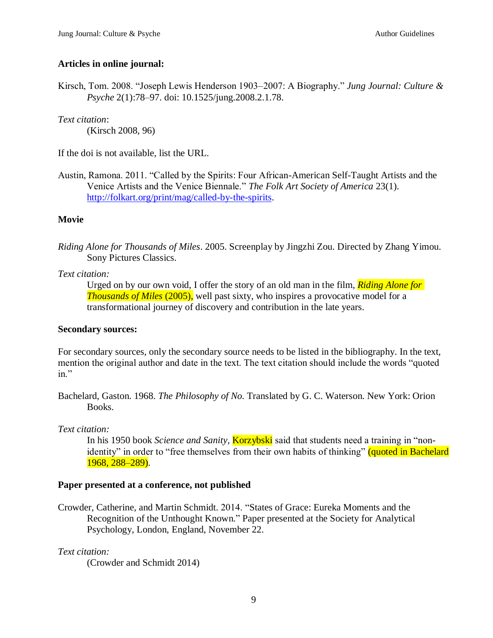## **Articles in online journal:**

Kirsch, Tom. 2008. "Joseph Lewis Henderson 1903–2007: A Biography." *Jung Journal: Culture & Psyche* 2(1):78–97. doi: 10.1525/jung.2008.2.1.78.

*Text citation*: (Kirsch 2008, 96)

If the doi is not available, list the URL.

Austin, Ramona. 2011. "Called by the Spirits: Four African-American Self-Taught Artists and the Venice Artists and the Venice Biennale." *The Folk Art Society of America* 23(1). [http://folkart.org/print/mag/called-by-the-spirits.](http://folkart.org/print/mag/called-by-the-spirits)

#### **Movie**

*Riding Alone for Thousands of Miles*. 2005. Screenplay by Jingzhi Zou. Directed by Zhang Yimou. Sony Pictures Classics.

#### *Text citation:*

Urged on by our own void, I offer the story of an old man in the film, *Riding Alone for Thousands of Miles* (2005), well past sixty, who inspires a provocative model for a transformational journey of discovery and contribution in the late years.

#### **Secondary sources:**

For secondary sources, only the secondary source needs to be listed in the bibliography. In the text, mention the original author and date in the text. The text citation should include the words "quoted  $in$ "

Bachelard, Gaston. 1968. *The Philosophy of No.* Translated by G. C. Waterson. New York: Orion Books.

#### *Text citation:*

In his 1950 book *Science and Sanity,* Korzybski said that students need a training in "nonidentity" in order to "free themselves from their own habits of thinking" (quoted in Bachelard 1968, 288–289).

#### **Paper presented at a conference, not published**

Crowder, Catherine, and Martin Schmidt. 2014. "States of Grace: Eureka Moments and the Recognition of the Unthought Known." Paper presented at the Society for Analytical Psychology, London, England, November 22.

#### *Text citation:*

(Crowder and Schmidt 2014)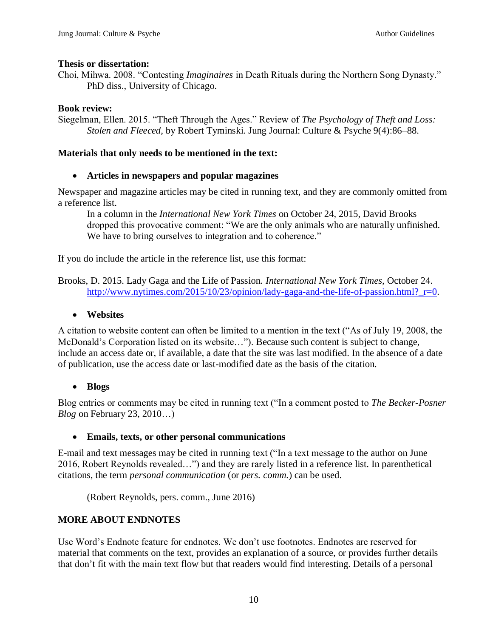#### **Thesis or dissertation:**

Choi, Mihwa. 2008. "Contesting *Imaginaires* in Death Rituals during the Northern Song Dynasty." PhD diss., University of Chicago.

## **Book review:**

Siegelman, Ellen. 2015. "Theft Through the Ages." Review of *The Psychology of Theft and Loss: Stolen and Fleeced,* by Robert Tyminski. Jung Journal: Culture & Psyche 9(4):86–88.

### **Materials that only needs to be mentioned in the text:**

#### **Articles in newspapers and popular magazines**

Newspaper and magazine articles may be cited in running text, and they are commonly omitted from a reference list.

In a column in the *International New York Times* on October 24, 2015, David Brooks dropped this provocative comment: "We are the only animals who are naturally unfinished. We have to bring ourselves to integration and to coherence."

If you do include the article in the reference list, use this format:

Brooks, D. 2015. Lady Gaga and the Life of Passion. *International New York Times,* October 24. http://www.nytimes.com/2015/10/23/opinion/lady-gaga-and-the-life-of-passion.html? r=0.

## **Websites**

A citation to website content can often be limited to a mention in the text ("As of July 19, 2008, the McDonald's Corporation listed on its website…"). Because such content is subject to change, include an access date or, if available, a date that the site was last modified. In the absence of a date of publication, use the access date or last-modified date as the basis of the citation.

## **Blogs**

Blog entries or comments may be cited in running text ("In a comment posted to *The Becker-Posner Blog* on February 23, 2010…)

#### **Emails, texts, or other personal communications**

E-mail and text messages may be cited in running text ("In a text message to the author on June 2016, Robert Reynolds revealed…") and they are rarely listed in a reference list. In parenthetical citations, the term *personal communication* (or *pers. comm.*) can be used.

(Robert Reynolds, pers. comm., June 2016)

## **MORE ABOUT ENDNOTES**

Use Word's Endnote feature for endnotes. We don't use footnotes. Endnotes are reserved for material that comments on the text, provides an explanation of a source, or provides further details that don't fit with the main text flow but that readers would find interesting. Details of a personal